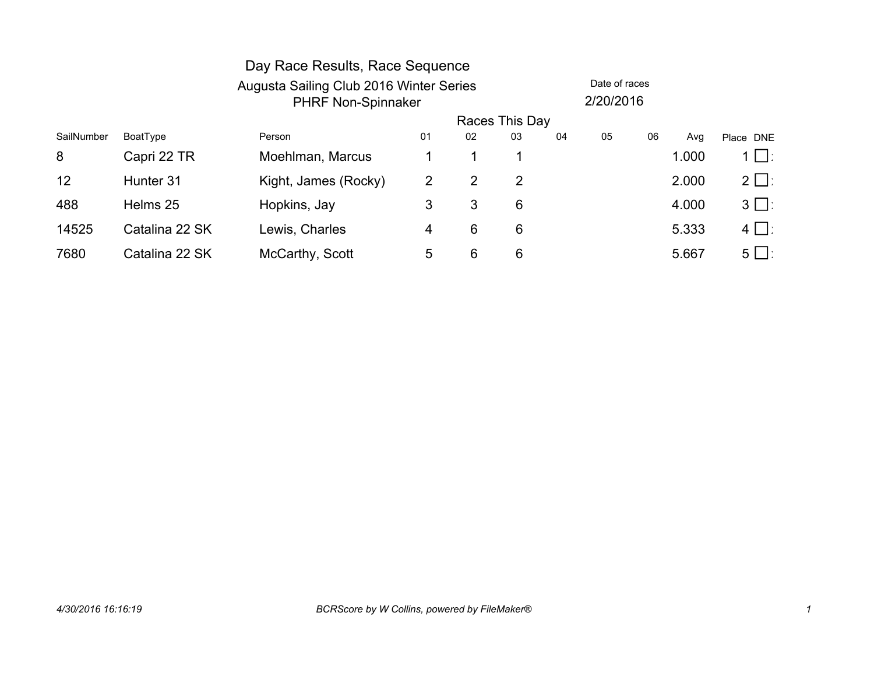|            |                | Day Race Results, Race Sequence         |                |    |                |    |               |    |       |           |
|------------|----------------|-----------------------------------------|----------------|----|----------------|----|---------------|----|-------|-----------|
|            |                | Augusta Sailing Club 2016 Winter Series |                |    |                |    | Date of races |    |       |           |
|            |                | <b>PHRF Non-Spinnaker</b>               |                |    |                |    | 2/20/2016     |    |       |           |
|            |                |                                         |                |    | Races This Day |    |               |    |       |           |
| SailNumber | BoatType       | Person                                  | 01             | 02 | 03             | 04 | 05            | 06 | Avg   | Place DNE |
| 8          | Capri 22 TR    | Moehlman, Marcus                        |                |    | 1              |    |               |    | 1.000 | $1 \Box$  |
| 12         | Hunter 31      | Kight, James (Rocky)                    | 2              | 2  | 2              |    |               |    | 2.000 | $2 \Box$  |
| 488        | Helms 25       | Hopkins, Jay                            | 3              | 3  | 6              |    |               |    | 4.000 | $3 \Box$  |
| 14525      | Catalina 22 SK | Lewis, Charles                          | $\overline{4}$ | 6  | 6              |    |               |    | 5.333 | $4 \Box$  |
| 7680       | Catalina 22 SK | McCarthy, Scott                         | 5              | 6  | 6              |    |               |    | 5.667 | $5 \Box$  |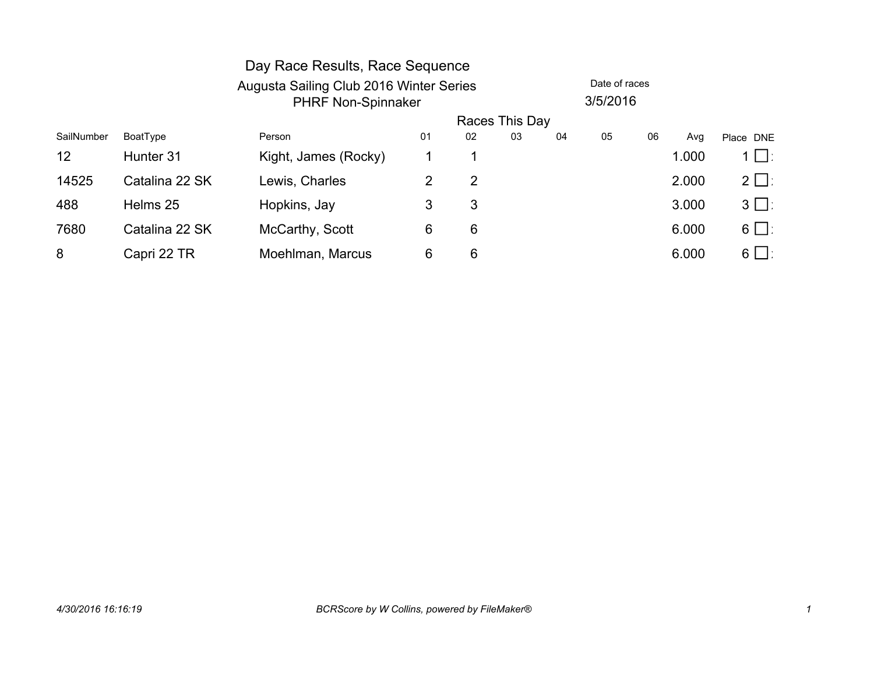|                 |                | Day Race Results, Race Sequence         |    |    |                |    |               |    |       |           |  |
|-----------------|----------------|-----------------------------------------|----|----|----------------|----|---------------|----|-------|-----------|--|
|                 |                | Augusta Sailing Club 2016 Winter Series |    |    |                |    | Date of races |    |       |           |  |
|                 |                | <b>PHRF Non-Spinnaker</b>               |    |    |                |    |               |    |       |           |  |
|                 |                |                                         |    |    | Races This Day |    |               |    |       |           |  |
| SailNumber      | BoatType       | Person                                  | 01 | 02 | 03             | 04 | 05            | 06 | Avg   | Place DNE |  |
| 12 <sub>2</sub> | Hunter 31      | Kight, James (Rocky)                    |    |    |                |    |               |    | 1.000 | $1 \Box$  |  |
| 14525           | Catalina 22 SK | Lewis, Charles                          | 2  | 2  |                |    |               |    | 2.000 | $2 \Box$  |  |
| 488             | Helms 25       | Hopkins, Jay                            | 3  | 3  |                |    |               |    | 3.000 | $3 \Box$  |  |
| 7680            | Catalina 22 SK | McCarthy, Scott                         | 6  | 6  |                |    |               |    | 6.000 | $6 \Box$  |  |
| 8               | Capri 22 TR    | Moehlman, Marcus                        | 6  | 6  |                |    |               |    | 6.000 | $6 \Box$  |  |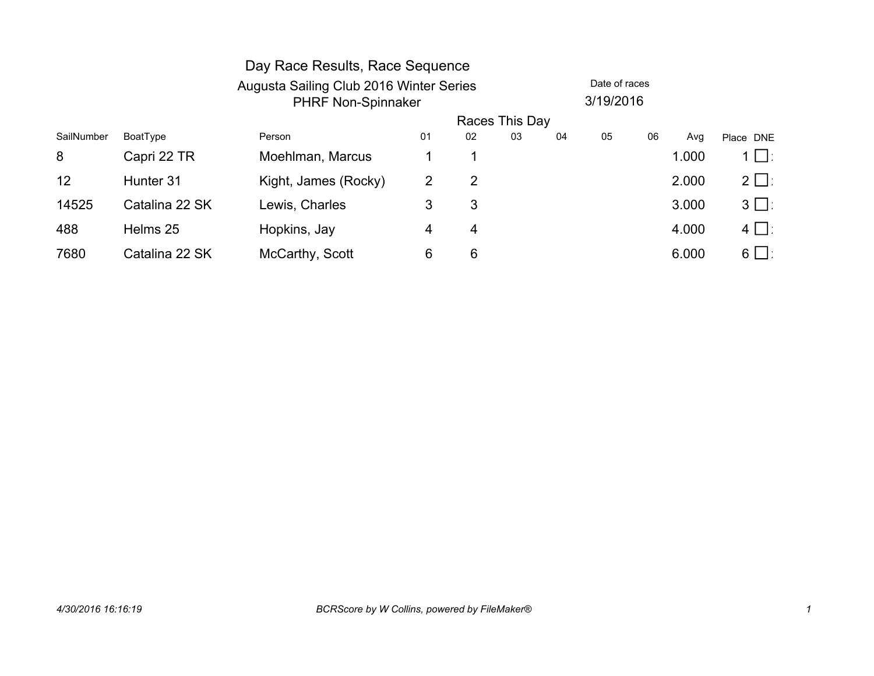|            |                | Day Race Results, Race Sequence         |    |    |                |    |               |    |       |           |  |
|------------|----------------|-----------------------------------------|----|----|----------------|----|---------------|----|-------|-----------|--|
|            |                | Augusta Sailing Club 2016 Winter Series |    |    |                |    | Date of races |    |       |           |  |
|            |                | <b>PHRF Non-Spinnaker</b>               |    |    |                |    | 3/19/2016     |    |       |           |  |
|            |                |                                         |    |    | Races This Day |    |               |    |       |           |  |
| SailNumber | BoatType       | Person                                  | 01 | 02 | 03             | 04 | 05            | 06 | Avg   | Place DNE |  |
| 8          | Capri 22 TR    | Moehlman, Marcus                        |    |    |                |    |               |    | 1.000 | $1 \Box$  |  |
| 12         | Hunter 31      | Kight, James (Rocky)                    | 2  | 2  |                |    |               |    | 2.000 | $2 \Box$  |  |
| 14525      | Catalina 22 SK | Lewis, Charles                          | 3  | 3  |                |    |               |    | 3.000 | $3 \Box$  |  |
| 488        | Helms 25       | Hopkins, Jay                            | 4  | 4  |                |    |               |    | 4.000 | $4 \Box$  |  |
| 7680       | Catalina 22 SK | McCarthy, Scott                         | 6  | 6  |                |    |               |    | 6.000 | $6 \Box$  |  |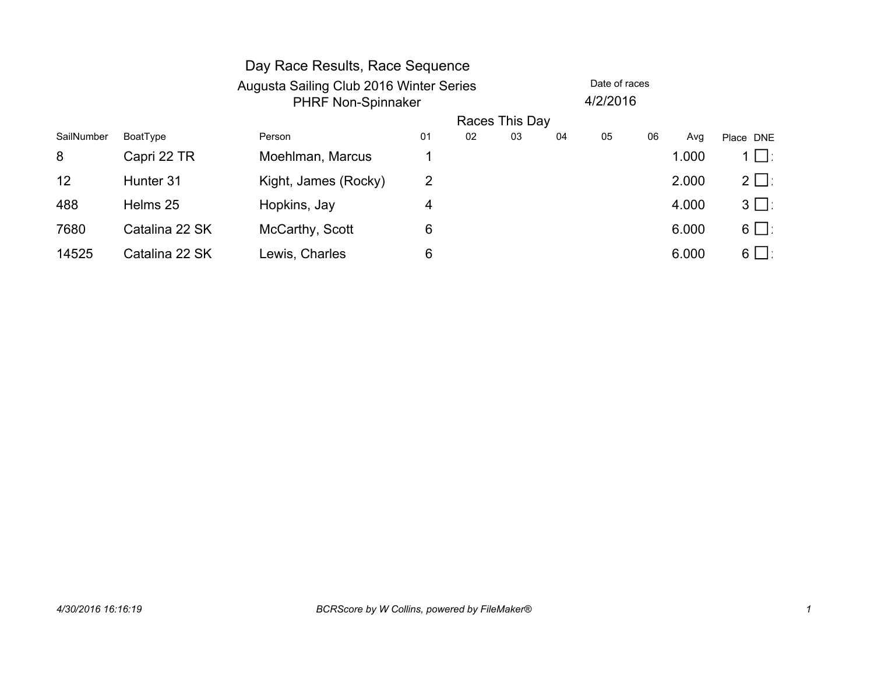|            |                | Day Race Results, Race Sequence |                                                                      |    |                |    |               |    |       |               |  |
|------------|----------------|---------------------------------|----------------------------------------------------------------------|----|----------------|----|---------------|----|-------|---------------|--|
|            |                |                                 | Augusta Sailing Club 2016 Winter Series<br><b>PHRF Non-Spinnaker</b> |    |                |    | Date of races |    |       |               |  |
|            |                |                                 |                                                                      |    |                |    | 4/2/2016      |    |       |               |  |
|            |                |                                 |                                                                      |    | Races This Day |    |               |    |       |               |  |
| SailNumber | BoatType       | Person                          | 01                                                                   | 02 | 03             | 04 | 05            | 06 | Avg   | Place DNE     |  |
| 8          | Capri 22 TR    | Moehlman, Marcus                |                                                                      |    |                |    |               |    | 1.000 | $1 \bigsqcup$ |  |
| 12         | Hunter 31      | Kight, James (Rocky)            | 2                                                                    |    |                |    |               |    | 2.000 | $2 \Box$      |  |
| 488        | Helms 25       | Hopkins, Jay                    | 4                                                                    |    |                |    |               |    | 4.000 | $3 \Box$      |  |
| 7680       | Catalina 22 SK | McCarthy, Scott                 | 6                                                                    |    |                |    |               |    | 6.000 | $6 \Box$      |  |
| 14525      | Catalina 22 SK | Lewis, Charles                  | 6                                                                    |    |                |    |               |    | 6.000 | $6 \Box$      |  |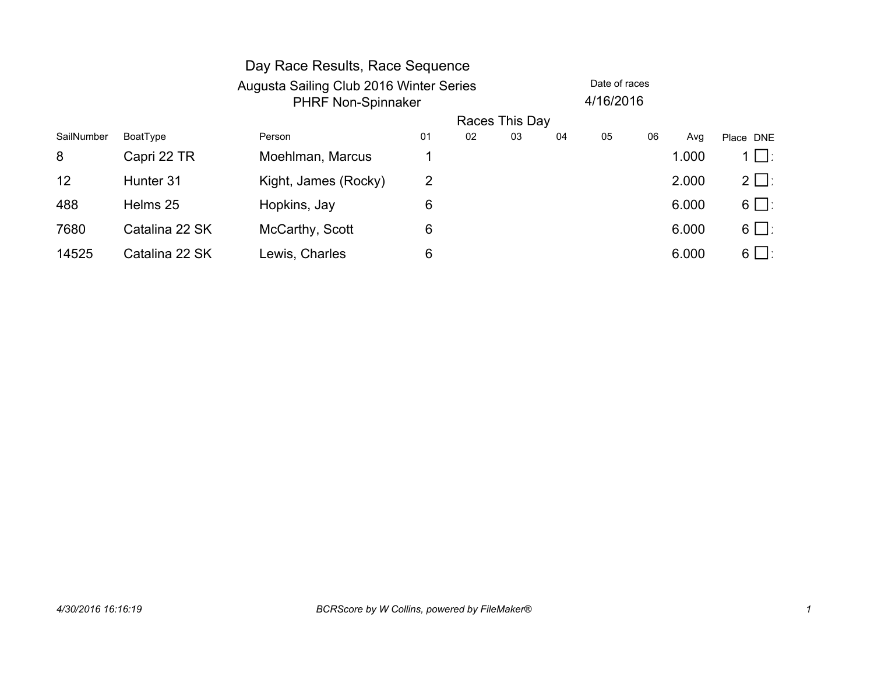|            |                | Day Race Results, Race Sequence         |    |                |    |    |               |    |       |           |
|------------|----------------|-----------------------------------------|----|----------------|----|----|---------------|----|-------|-----------|
|            |                | Augusta Sailing Club 2016 Winter Series |    |                |    |    | Date of races |    |       |           |
|            |                | <b>PHRF Non-Spinnaker</b>               |    |                |    |    | 4/16/2016     |    |       |           |
|            |                |                                         |    | Races This Day |    |    |               |    |       |           |
| SailNumber | BoatType       | Person                                  | 01 | 02             | 03 | 04 | 05            | 06 | Avg   | Place DNE |
| 8          | Capri 22 TR    | Moehlman, Marcus                        |    |                |    |    |               |    | 1.000 | 1 ∐∶      |
| 12         | Hunter 31      | Kight, James (Rocky)                    | 2  |                |    |    |               |    | 2.000 | $2 \Box$  |
| 488        | Helms 25       | Hopkins, Jay                            | 6  |                |    |    |               |    | 6.000 | $6 \Box$  |
| 7680       | Catalina 22 SK | McCarthy, Scott                         | 6  |                |    |    |               |    | 6.000 | $6 \Box$  |
| 14525      | Catalina 22 SK | Lewis, Charles                          | 6  |                |    |    |               |    | 6.000 | $6 \Box$  |